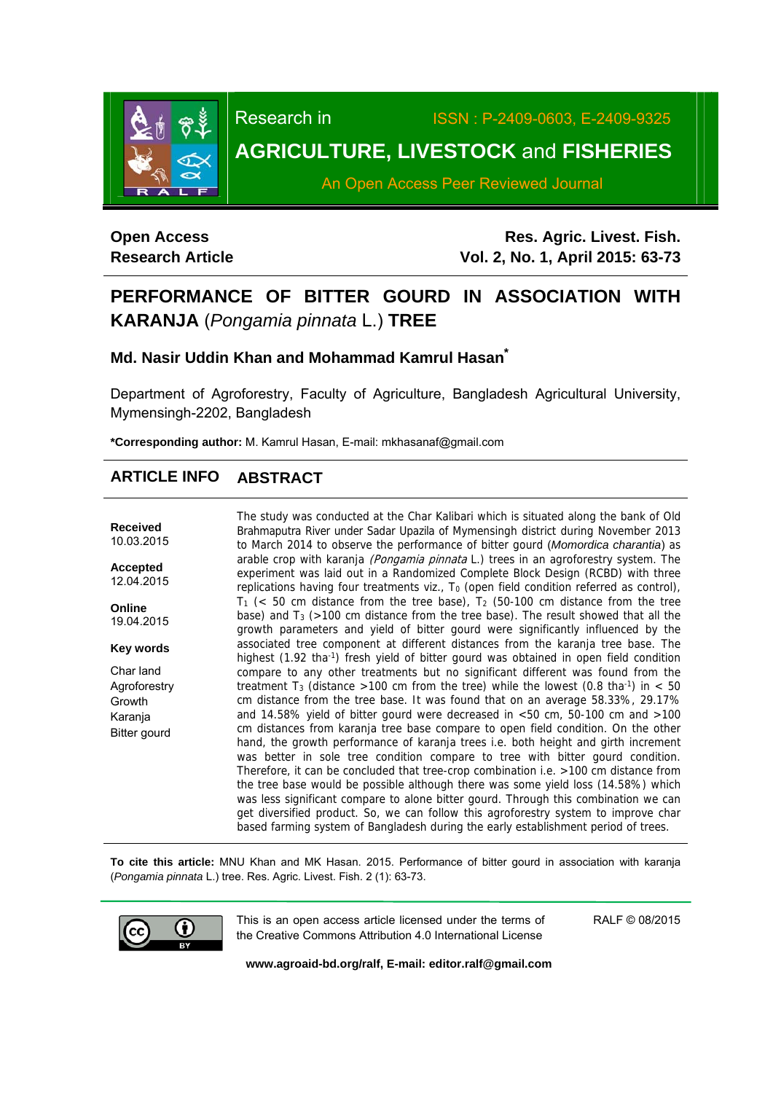

Research in ISSN : P-2409-0603, E-2409-9325 **AGRICULTURE, LIVESTOCK** and **FISHERIES** 

An Open Access Peer Reviewed Journal

# **Open Access Research Article**

**Res. Agric. Livest. Fish. Vol. 2, No. 1, April 2015: 63-73**

# **PERFORMANCE OF BITTER GOURD IN ASSOCIATION WITH KARANJA** (*Pongamia pinnata* L.) **TREE**

# **Md. Nasir Uddin Khan and Mohammad Kamrul Hasan\***

Department of Agroforestry, Faculty of Agriculture, Bangladesh Agricultural University, Mymensingh-2202, Bangladesh

**\*Corresponding author:** M. Kamrul Hasan, E-mail: mkhasanaf@gmail.com

# **ARTICLE INFO ABSTRACT**

**Received**  10.03.2015

**Accepted**  12.04.2015

**Online**  19.04.2015

**Key words** 

Char land Agroforestry Growth Karanja Bitter gourd

The study was conducted at the Char Kalibari which is situated along the bank of Old Brahmaputra River under Sadar Upazila of Mymensingh district during November 2013 to March 2014 to observe the performance of bitter gourd (*Momordica charantia*) as arable crop with karanja (Pongamia pinnata L.) trees in an agroforestry system. The experiment was laid out in a Randomized Complete Block Design (RCBD) with three replications having four treatments viz., T<sub>0</sub> (open field condition referred as control),  $T_1$  (< 50 cm distance from the tree base),  $T_2$  (50-100 cm distance from the tree base) and  $T_3$  (>100 cm distance from the tree base). The result showed that all the growth parameters and yield of bitter gourd were significantly influenced by the associated tree component at different distances from the karanja tree base. The highest (1.92 tha<sup>-1</sup>) fresh yield of bitter gourd was obtained in open field condition compare to any other treatments but no significant different was found from the treatment T<sub>3</sub> (distance >100 cm from the tree) while the lowest (0.8 tha<sup>-1</sup>) in < 50 cm distance from the tree base. It was found that on an average 58.33%, 29.17% and 14.58% yield of bitter gourd were decreased in <50 cm, 50-100 cm and >100 cm distances from karanja tree base compare to open field condition. On the other hand, the growth performance of karanja trees i.e. both height and girth increment was better in sole tree condition compare to tree with bitter gourd condition. Therefore, it can be concluded that tree-crop combination i.e. >100 cm distance from the tree base would be possible although there was some yield loss (14.58%) which was less significant compare to alone bitter gourd. Through this combination we can get diversified product. So, we can follow this agroforestry system to improve char based farming system of Bangladesh during the early establishment period of trees.

**To cite this article:** MNU Khan and MK Hasan. 2015. Performance of bitter gourd in association with karanja (*Pongamia pinnata* L.) tree. Res. Agric. Livest. Fish. 2 (1): 63-73.



This is an open access article licensed under the terms of the Creative Commons Attribution 4.0 International License

RALF © 08/2015

**www.agroaid-bd.org/ralf, E-mail: editor.ralf@gmail.com**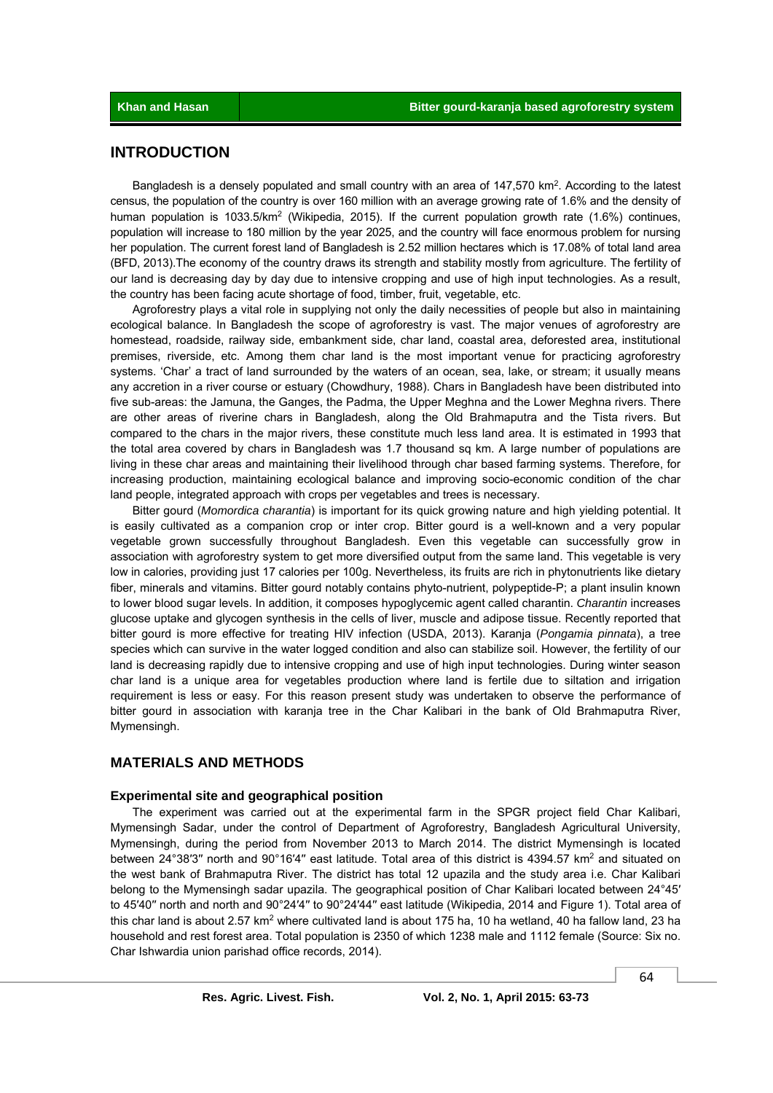# **INTRODUCTION**

Bangladesh is a densely populated and small country with an area of 147,570 km<sup>2</sup>. According to the latest census, the population of the country is over 160 million with an average growing rate of 1.6% and the density of human population is 1033.5/km<sup>2</sup> (Wikipedia, 2015). If the current population growth rate (1.6%) continues, population will increase to 180 million by the year 2025, and the country will face enormous problem for nursing her population. The current forest land of Bangladesh is 2.52 million hectares which is 17.08% of total land area (BFD, 2013).The economy of the country draws its strength and stability mostly from agriculture. The fertility of our land is decreasing day by day due to intensive cropping and use of high input technologies. As a result, the country has been facing acute shortage of food, timber, fruit, vegetable, etc.

 Agroforestry plays a vital role in supplying not only the daily necessities of people but also in maintaining ecological balance. In Bangladesh the scope of agroforestry is vast. The major venues of agroforestry are homestead, roadside, railway side, embankment side, char land, coastal area, deforested area, institutional premises, riverside, etc. Among them char land is the most important venue for practicing agroforestry systems. 'Char' a tract of land surrounded by the waters of an ocean, sea, lake, or stream; it usually means any accretion in a river course or estuary (Chowdhury, 1988). Chars in Bangladesh have been distributed into five sub-areas: the Jamuna, the Ganges, the Padma, the Upper Meghna and the Lower Meghna rivers. There are other areas of riverine chars in Bangladesh, along the Old Brahmaputra and the Tista rivers. But compared to the chars in the major rivers, these constitute much less land area. It is estimated in 1993 that the total area covered by chars in Bangladesh was 1.7 thousand sq km. A large number of populations are living in these char areas and maintaining their livelihood through char based farming systems. Therefore, for increasing production, maintaining ecological balance and improving socio-economic condition of the char land people, integrated approach with crops per vegetables and trees is necessary.

 Bitter gourd (*Momordica charantia*) is important for its quick growing nature and high yielding potential. It is easily cultivated as a companion crop or inter crop. Bitter gourd is a well-known and a very popular vegetable grown successfully throughout Bangladesh. Even this vegetable can successfully grow in association with agroforestry system to get more diversified output from the same land. This vegetable is very low in calories, providing just 17 calories per 100g. Nevertheless, its fruits are rich in phytonutrients like dietary fiber, minerals and vitamins. Bitter gourd notably contains phyto-nutrient, polypeptide-P; a plant insulin known to lower blood sugar levels. In addition, it composes hypoglycemic agent called charantin. *Charantin* increases glucose uptake and glycogen synthesis in the cells of liver, muscle and adipose tissue. Recently reported that bitter gourd is more effective for treating HIV infection (USDA, 2013). Karanja (*Pongamia pinnata*), a tree species which can survive in the water logged condition and also can stabilize soil. However, the fertility of our land is decreasing rapidly due to intensive cropping and use of high input technologies. During winter season char land is a unique area for vegetables production where land is fertile due to siltation and irrigation requirement is less or easy. For this reason present study was undertaken to observe the performance of bitter gourd in association with karanja tree in the Char Kalibari in the bank of Old Brahmaputra River, Mymensingh.

## **MATERIALS AND METHODS**

#### **Experimental site and geographical position**

 The experiment was carried out at the experimental farm in the SPGR project field Char Kalibari, Mymensingh Sadar, under the control of Department of Agroforestry, Bangladesh Agricultural University, Mymensingh, during the period from November 2013 to March 2014. The district Mymensingh is located between 24°38'3" north and 90°16'4" east latitude. Total area of this district is 4394.57 km<sup>2</sup> and situated on the west bank of Brahmaputra River. The district has total 12 upazila and the study area i.e. Char Kalibari belong to the Mymensingh sadar upazila. The geographical position of Char Kalibari located between 24°45′ to 45'40" north and north and 90°24'4" to 90°24'44" east latitude (Wikipedia, 2014 and Figure 1). Total area of this char land is about 2.57 km<sup>2</sup> where cultivated land is about 175 ha, 10 ha wetland, 40 ha fallow land, 23 ha household and rest forest area. Total population is 2350 of which 1238 male and 1112 female (Source: Six no. Char Ishwardia union parishad office records, 2014).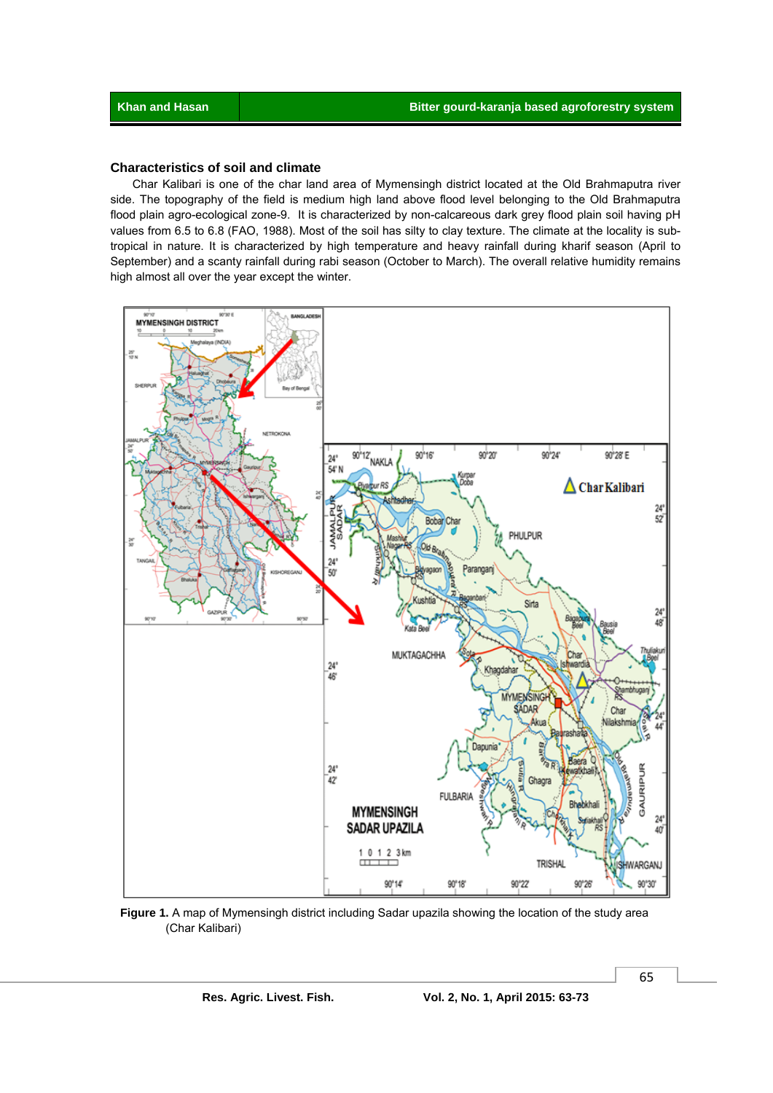### **Characteristics of soil and climate**

 Char Kalibari is one of the char land area of Mymensingh district located at the Old Brahmaputra river side. The topography of the field is medium high land above flood level belonging to the Old Brahmaputra flood plain agro-ecological zone-9. It is characterized by non-calcareous dark grey flood plain soil having pH values from 6.5 to 6.8 (FAO, 1988). Most of the soil has silty to clay texture. The climate at the locality is subtropical in nature. It is characterized by high temperature and heavy rainfall during kharif season (April to September) and a scanty rainfall during rabi season (October to March). The overall relative humidity remains high almost all over the year except the winter.



 **Figure 1.** A map of Mymensingh district including Sadar upazila showing the location of the study area (Char Kalibari)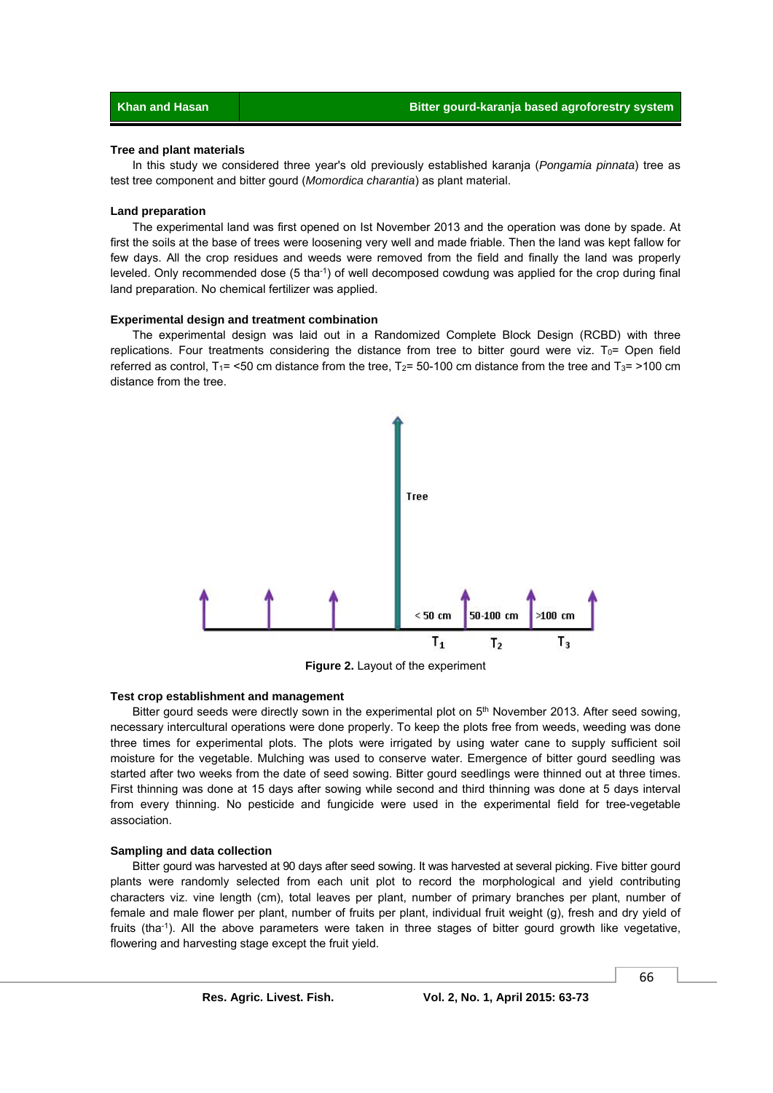#### **Tree and plant materials**

 In this study we considered three year's old previously established karanja (*Pongamia pinnata*) tree as test tree component and bitter gourd (*Momordica charantia*) as plant material.

#### **Land preparation**

 The experimental land was first opened on Ist November 2013 and the operation was done by spade. At first the soils at the base of trees were loosening very well and made friable. Then the land was kept fallow for few days. All the crop residues and weeds were removed from the field and finally the land was properly leveled. Only recommended dose (5 tha<sup>-1</sup>) of well decomposed cowdung was applied for the crop during final land preparation. No chemical fertilizer was applied.

#### **Experimental design and treatment combination**

 The experimental design was laid out in a Randomized Complete Block Design (RCBD) with three replications. Four treatments considering the distance from tree to bitter gourd were viz. T<sub>0</sub>= Open field referred as control, T<sub>1</sub>= <50 cm distance from the tree, T<sub>2</sub>= 50-100 cm distance from the tree and T<sub>3</sub>= >100 cm distance from the tree.



**Figure 2.** Layout of the experiment

#### **Test crop establishment and management**

Bitter gourd seeds were directly sown in the experimental plot on 5<sup>th</sup> November 2013. After seed sowing, necessary intercultural operations were done properly. To keep the plots free from weeds, weeding was done three times for experimental plots. The plots were irrigated by using water cane to supply sufficient soil moisture for the vegetable. Mulching was used to conserve water. Emergence of bitter gourd seedling was started after two weeks from the date of seed sowing. Bitter gourd seedlings were thinned out at three times. First thinning was done at 15 days after sowing while second and third thinning was done at 5 days interval from every thinning. No pesticide and fungicide were used in the experimental field for tree-vegetable association.

#### **Sampling and data collection**

 Bitter gourd was harvested at 90 days after seed sowing. It was harvested at several picking. Five bitter gourd plants were randomly selected from each unit plot to record the morphological and yield contributing characters viz. vine length (cm), total leaves per plant, number of primary branches per plant, number of female and male flower per plant, number of fruits per plant, individual fruit weight (g), fresh and dry yield of fruits (tha<sup>-1</sup>). All the above parameters were taken in three stages of bitter gourd growth like vegetative, flowering and harvesting stage except the fruit yield.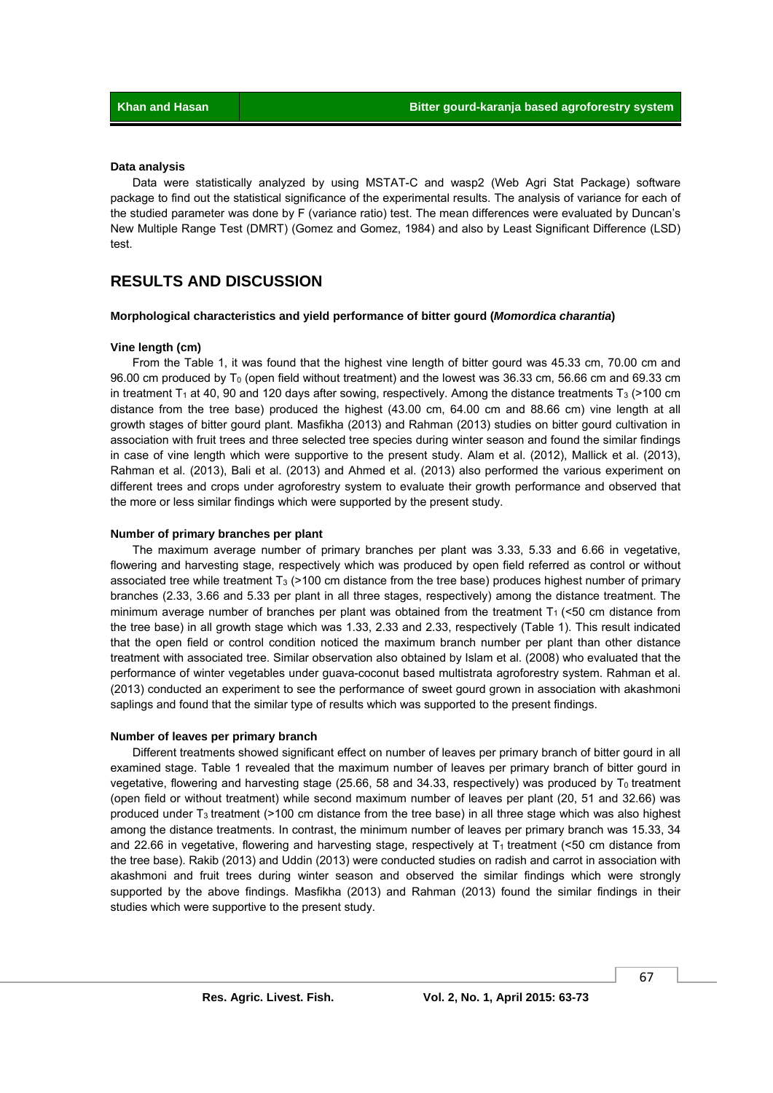#### **Data analysis**

 Data were statistically analyzed by using MSTAT-C and wasp2 (Web Agri Stat Package) software package to find out the statistical significance of the experimental results. The analysis of variance for each of the studied parameter was done by F (variance ratio) test. The mean differences were evaluated by Duncan's New Multiple Range Test (DMRT) (Gomez and Gomez, 1984) and also by Least Significant Difference (LSD) test.

# **RESULTS AND DISCUSSION**

#### **Morphological characteristics and yield performance of bitter gourd (***Momordica charantia***)**

#### **Vine length (cm)**

 From the Table 1, it was found that the highest vine length of bitter gourd was 45.33 cm, 70.00 cm and 96.00 cm produced by  $T_0$  (open field without treatment) and the lowest was 36.33 cm, 56.66 cm and 69.33 cm in treatment T<sub>1</sub> at 40, 90 and 120 days after sowing, respectively. Among the distance treatments T<sub>3</sub> (>100 cm) distance from the tree base) produced the highest (43.00 cm, 64.00 cm and 88.66 cm) vine length at all growth stages of bitter gourd plant. Masfikha (2013) and Rahman (2013) studies on bitter gourd cultivation in association with fruit trees and three selected tree species during winter season and found the similar findings in case of vine length which were supportive to the present study. Alam et al. (2012), Mallick et al. (2013), Rahman et al. (2013), Bali et al. (2013) and Ahmed et al. (2013) also performed the various experiment on different trees and crops under agroforestry system to evaluate their growth performance and observed that the more or less similar findings which were supported by the present study.

#### **Number of primary branches per plant**

 The maximum average number of primary branches per plant was 3.33, 5.33 and 6.66 in vegetative, flowering and harvesting stage, respectively which was produced by open field referred as control or without associated tree while treatment T<sub>3</sub> (>100 cm distance from the tree base) produces highest number of primary branches (2.33, 3.66 and 5.33 per plant in all three stages, respectively) among the distance treatment. The minimum average number of branches per plant was obtained from the treatment  $T_1$  (<50 cm distance from the tree base) in all growth stage which was 1.33, 2.33 and 2.33, respectively (Table 1). This result indicated that the open field or control condition noticed the maximum branch number per plant than other distance treatment with associated tree. Similar observation also obtained by Islam et al. (2008) who evaluated that the performance of winter vegetables under guava-coconut based multistrata agroforestry system. Rahman et al. (2013) conducted an experiment to see the performance of sweet gourd grown in association with akashmoni saplings and found that the similar type of results which was supported to the present findings.

#### **Number of leaves per primary branch**

 Different treatments showed significant effect on number of leaves per primary branch of bitter gourd in all examined stage. Table 1 revealed that the maximum number of leaves per primary branch of bitter gourd in vegetative, flowering and harvesting stage (25.66, 58 and 34.33, respectively) was produced by  $T_0$  treatment (open field or without treatment) while second maximum number of leaves per plant (20, 51 and 32.66) was produced under T3 treatment (>100 cm distance from the tree base) in all three stage which was also highest among the distance treatments. In contrast, the minimum number of leaves per primary branch was 15.33, 34 and 22.66 in vegetative, flowering and harvesting stage, respectively at  $T_1$  treatment (<50 cm distance from the tree base). Rakib (2013) and Uddin (2013) were conducted studies on radish and carrot in association with akashmoni and fruit trees during winter season and observed the similar findings which were strongly supported by the above findings. Masfikha (2013) and Rahman (2013) found the similar findings in their studies which were supportive to the present study.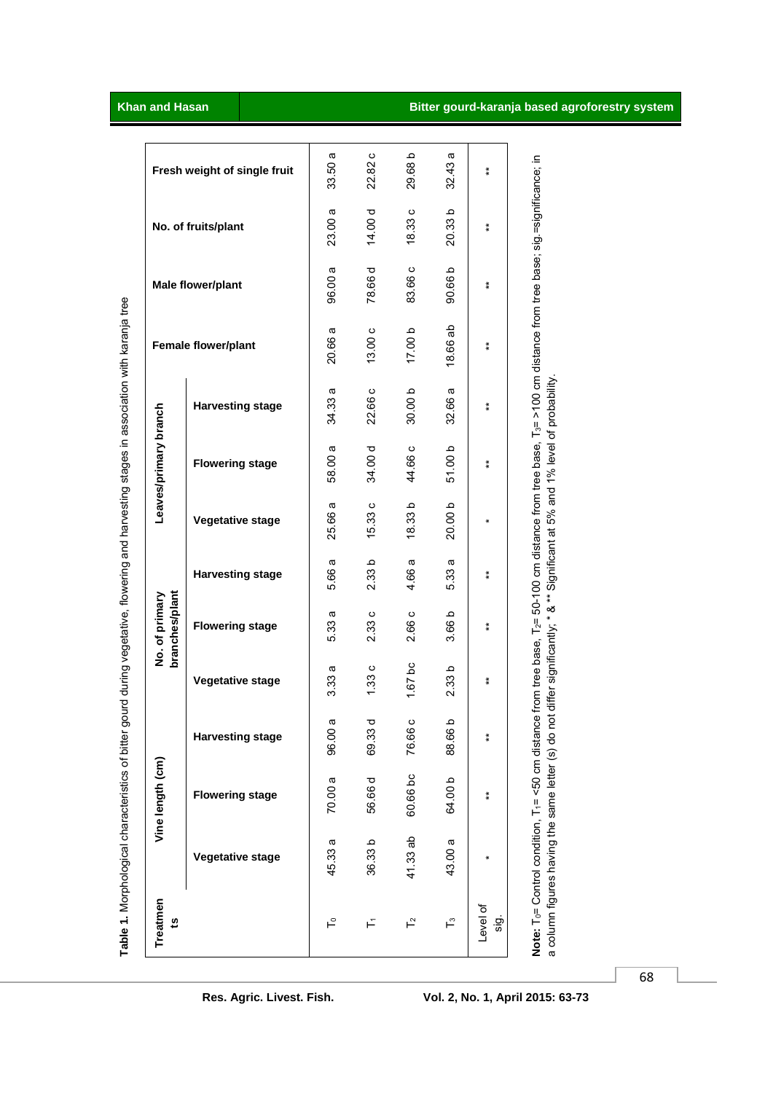| Treatmen<br>5                                                                                                                 |                         | Vine length (cm)       |                         |                   | branches/plant<br>No. of primary |                         |                  | Leaves/primary branch                                                         |                         |                                                                                                                                                |                   |                     |                              |
|-------------------------------------------------------------------------------------------------------------------------------|-------------------------|------------------------|-------------------------|-------------------|----------------------------------|-------------------------|------------------|-------------------------------------------------------------------------------|-------------------------|------------------------------------------------------------------------------------------------------------------------------------------------|-------------------|---------------------|------------------------------|
|                                                                                                                               | <b>Vegetative stage</b> | <b>Flowering stage</b> | <b>Harvesting stage</b> | Vegetative stage  | <b>Flowering stage</b>           | <b>Harvesting stage</b> | Vegetative stage | <b>Flowering stage</b>                                                        | <b>Harvesting stage</b> | Female flower/plant                                                                                                                            | Male flower/plant | No. of fruits/plant | Fresh weight of single fruit |
| ⊢°                                                                                                                            | 45.33 a                 | 70.00 a                | ω<br>96.00              | <b>U</b><br>3.33i | 4<br>5.33                        | ω<br>5.66               | 25.66 a          | 58.00 a                                                                       | a<br>34.33              | w<br>20.66                                                                                                                                     | 96.00 a           | 23.00 a             | ω<br>33.50                   |
| F                                                                                                                             | 36.33 b                 | 56.66 d                | ਹ<br>69.33              | 1.33c             | 2.33c                            | 2.33 <sub>b</sub>       | 15.33 c          | 34.00 d                                                                       | 22.66 c                 | 13.00c                                                                                                                                         | 78.66 d           | 14.00 d             | $\circ$<br>22.82             |
| $\mathsf{L}^{\alpha}$                                                                                                         | 41.33 ab                | 60.66 bc               | $\circ$<br>76.66        | $1.67$ bc         | 2.66 c                           | œ<br>4.66               | 18.33b           | 44.66 c                                                                       | 30.00 b                 | 17.00 b                                                                                                                                        | 83.66 c           | 18.33c              | Q<br>29.68                   |
| $\mathsf{L}^{\circ}$                                                                                                          | 43.00 a                 | 64.00b                 | ء<br>88.66              | 2.33 <sub>b</sub> | 3.66 b                           | 5.33 a                  | 20.00b           | 51.00 b                                                                       | 32.66 a                 | 18.66 ab                                                                                                                                       | 90.66 b           | 20.33 b             | æ<br>32.43                   |
| Level of<br>.gi                                                                                                               |                         | $\bf{*}$               | $\bf{*}$                | $\ddot{*}$        | $\ast$                           | $\ast$                  | ×                | $\ddot{*}$                                                                    | $\stackrel{*}{*}$       | $\stackrel{*}{*}$                                                                                                                              | $\stackrel{*}{*}$ | $\ddot{*}$          | $\ddot{*}$                   |
| Note: T <sub>0</sub> = Control condition, T <sub>1</sub> = <50 cm distand<br>a column figures having the same letter (s) do n |                         |                        |                         |                   |                                  |                         |                  | ot differ significantly; * & ** Significant at 5% and 1% level of probability |                         | be from tree base, T <sub>2</sub> = 50-100 cm distance from tree base, T <sub>3</sub> = >100 cm distance from tree base; sig.=significance; in |                   |                     |                              |

Table 1. Morphological characteristics of bitter gourd during vegetative, flowering and harvesting stages in association with karanja tree **Table 1.** Morphological characteristics of bitter gourd during vegetative, flowering and harvesting stages in association with karanja tree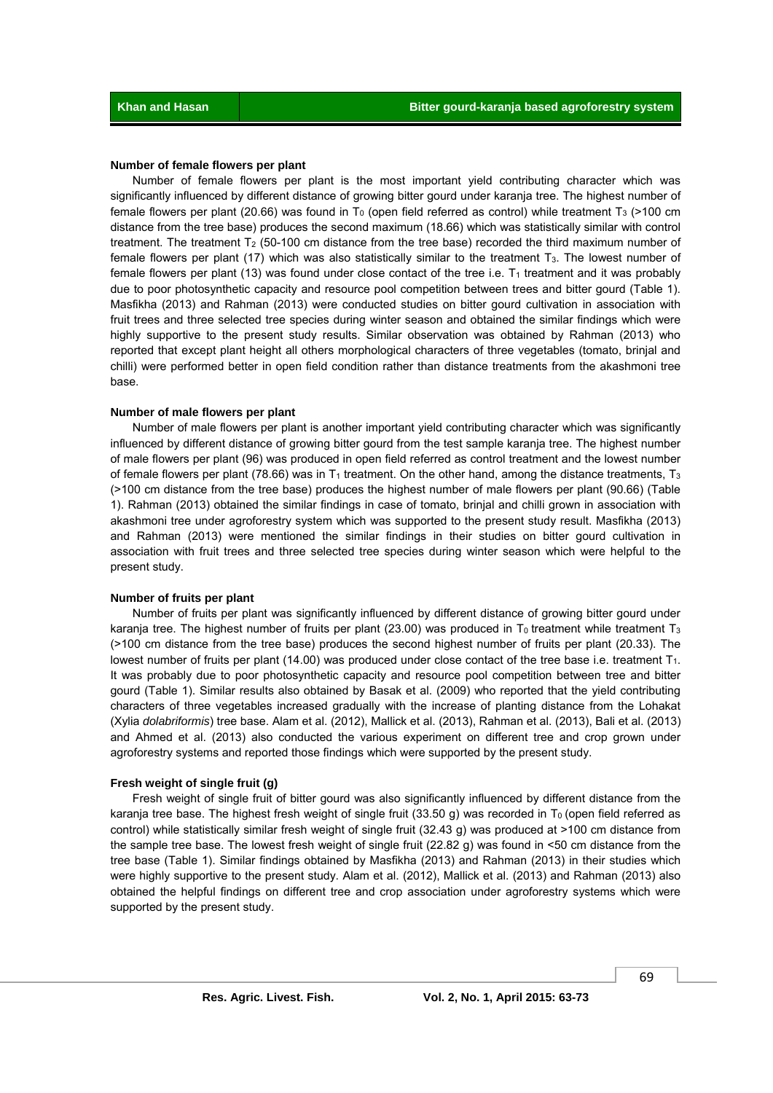#### **Number of female flowers per plant**

 Number of female flowers per plant is the most important yield contributing character which was significantly influenced by different distance of growing bitter gourd under karanja tree. The highest number of female flowers per plant (20.66) was found in  $T_0$  (open field referred as control) while treatment T<sub>3</sub> (>100 cm distance from the tree base) produces the second maximum (18.66) which was statistically similar with control treatment. The treatment  $T_2$  (50-100 cm distance from the tree base) recorded the third maximum number of female flowers per plant (17) which was also statistically similar to the treatment T3. The lowest number of female flowers per plant (13) was found under close contact of the tree i.e.  $T_1$  treatment and it was probably due to poor photosynthetic capacity and resource pool competition between trees and bitter gourd (Table 1). Masfikha (2013) and Rahman (2013) were conducted studies on bitter gourd cultivation in association with fruit trees and three selected tree species during winter season and obtained the similar findings which were highly supportive to the present study results. Similar observation was obtained by Rahman (2013) who reported that except plant height all others morphological characters of three vegetables (tomato, brinjal and chilli) were performed better in open field condition rather than distance treatments from the akashmoni tree base.

#### **Number of male flowers per plant**

 Number of male flowers per plant is another important yield contributing character which was significantly influenced by different distance of growing bitter gourd from the test sample karanja tree. The highest number of male flowers per plant (96) was produced in open field referred as control treatment and the lowest number of female flowers per plant (78.66) was in  $T_1$  treatment. On the other hand, among the distance treatments,  $T_3$ (>100 cm distance from the tree base) produces the highest number of male flowers per plant (90.66) (Table 1). Rahman (2013) obtained the similar findings in case of tomato, brinjal and chilli grown in association with akashmoni tree under agroforestry system which was supported to the present study result. Masfikha (2013) and Rahman (2013) were mentioned the similar findings in their studies on bitter gourd cultivation in association with fruit trees and three selected tree species during winter season which were helpful to the present study.

#### **Number of fruits per plant**

 Number of fruits per plant was significantly influenced by different distance of growing bitter gourd under karanja tree. The highest number of fruits per plant (23.00) was produced in T<sub>0</sub> treatment while treatment T<sub>3</sub> (>100 cm distance from the tree base) produces the second highest number of fruits per plant (20.33). The lowest number of fruits per plant (14.00) was produced under close contact of the tree base i.e. treatment T<sub>1</sub>. It was probably due to poor photosynthetic capacity and resource pool competition between tree and bitter gourd (Table 1). Similar results also obtained by Basak et al. (2009) who reported that the yield contributing characters of three vegetables increased gradually with the increase of planting distance from the Lohakat (Xylia *dolabriformis*) tree base. Alam et al. (2012), Mallick et al. (2013), Rahman et al. (2013), Bali et al. (2013) and Ahmed et al. (2013) also conducted the various experiment on different tree and crop grown under agroforestry systems and reported those findings which were supported by the present study.

#### **Fresh weight of single fruit (g)**

 Fresh weight of single fruit of bitter gourd was also significantly influenced by different distance from the karanja tree base. The highest fresh weight of single fruit (33.50 g) was recorded in  $T_0$  (open field referred as control) while statistically similar fresh weight of single fruit (32.43 g) was produced at >100 cm distance from the sample tree base. The lowest fresh weight of single fruit (22.82 g) was found in <50 cm distance from the tree base (Table 1). Similar findings obtained by Masfikha (2013) and Rahman (2013) in their studies which were highly supportive to the present study. Alam et al. (2012), Mallick et al. (2013) and Rahman (2013) also obtained the helpful findings on different tree and crop association under agroforestry systems which were supported by the present study.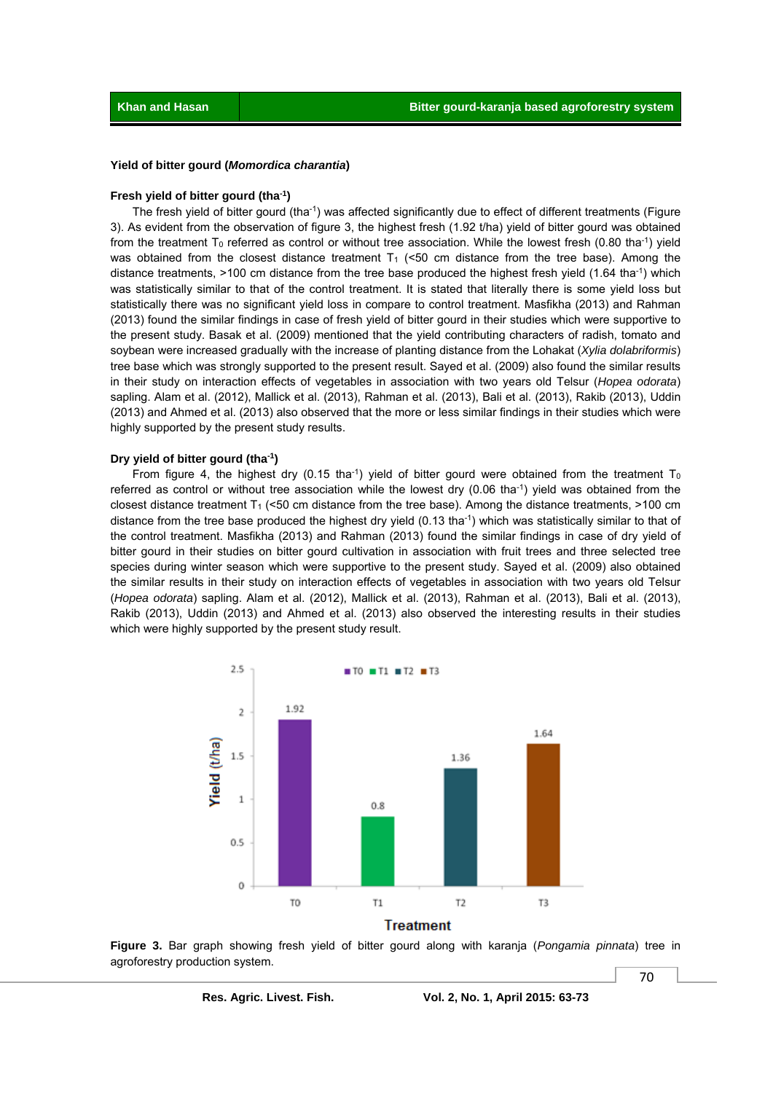#### **Yield of bitter gourd (***Momordica charantia***)**

#### **Fresh yield of bitter gourd (tha-1)**

 The fresh yield of bitter gourd (tha-1) was affected significantly due to effect of different treatments (Figure 3). As evident from the observation of figure 3, the highest fresh (1.92 t/ha) yield of bitter gourd was obtained from the treatment  $T_0$  referred as control or without tree association. While the lowest fresh (0.80 tha<sup>-1</sup>) yield was obtained from the closest distance treatment  $T_1$  (<50 cm distance from the tree base). Among the distance treatments, >100 cm distance from the tree base produced the highest fresh yield (1.64 tha<sup>-1</sup>) which was statistically similar to that of the control treatment. It is stated that literally there is some yield loss but statistically there was no significant yield loss in compare to control treatment. Masfikha (2013) and Rahman (2013) found the similar findings in case of fresh yield of bitter gourd in their studies which were supportive to the present study. Basak et al. (2009) mentioned that the yield contributing characters of radish, tomato and soybean were increased gradually with the increase of planting distance from the Lohakat (*Xylia dolabriformis*) tree base which was strongly supported to the present result. Sayed et al. (2009) also found the similar results in their study on interaction effects of vegetables in association with two years old Telsur (*Hopea odorata*) sapling. Alam et al. (2012), Mallick et al. (2013), Rahman et al. (2013), Bali et al. (2013), Rakib (2013), Uddin (2013) and Ahmed et al. (2013) also observed that the more or less similar findings in their studies which were highly supported by the present study results.

#### **Dry yield of bitter gourd (tha-1)**

From figure 4, the highest dry (0.15 tha<sup>-1</sup>) yield of bitter gourd were obtained from the treatment T<sub>0</sub> referred as control or without tree association while the lowest dry (0.06 tha-1) yield was obtained from the closest distance treatment  $T_1$  (<50 cm distance from the tree base). Among the distance treatments, >100 cm distance from the tree base produced the highest dry yield  $(0.13 \text{ tha}^{-1})$  which was statistically similar to that of the control treatment. Masfikha (2013) and Rahman (2013) found the similar findings in case of dry yield of bitter gourd in their studies on bitter gourd cultivation in association with fruit trees and three selected tree species during winter season which were supportive to the present study. Sayed et al. (2009) also obtained the similar results in their study on interaction effects of vegetables in association with two years old Telsur (*Hopea odorata*) sapling. Alam et al. (2012), Mallick et al. (2013), Rahman et al. (2013), Bali et al. (2013), Rakib (2013), Uddin (2013) and Ahmed et al. (2013) also observed the interesting results in their studies which were highly supported by the present study result.



**Figure 3.** Bar graph showing fresh yield of bitter gourd along with karanja (*Pongamia pinnata*) tree in agroforestry production system.

**Res. Agric. Livest. Fish. Vol. 2, No. 1, April 2015: 63-73**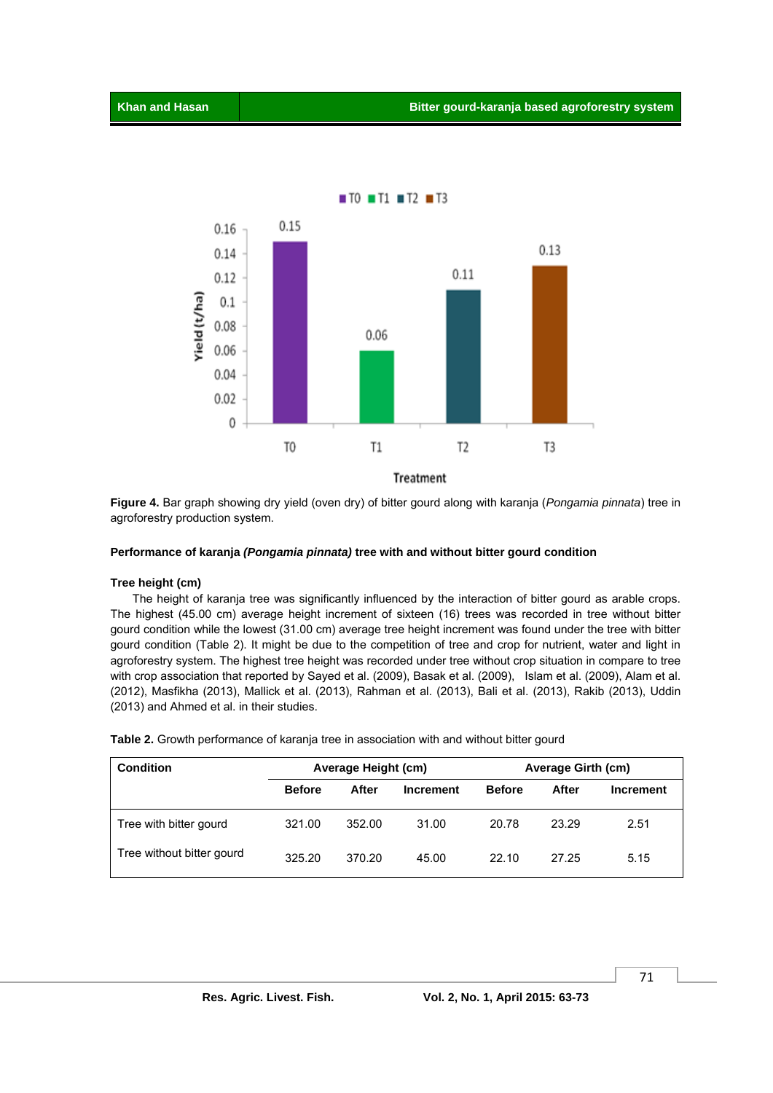

**Figure 4.** Bar graph showing dry yield (oven dry) of bitter gourd along with karanja (*Pongamia pinnata*) tree in agroforestry production system.

#### **Performance of karanja** *(Pongamia pinnata)* **tree with and without bitter gourd condition**

#### **Tree height (cm)**

 The height of karanja tree was significantly influenced by the interaction of bitter gourd as arable crops. The highest (45.00 cm) average height increment of sixteen (16) trees was recorded in tree without bitter gourd condition while the lowest (31.00 cm) average tree height increment was found under the tree with bitter gourd condition (Table 2). It might be due to the competition of tree and crop for nutrient, water and light in agroforestry system. The highest tree height was recorded under tree without crop situation in compare to tree with crop association that reported by Sayed et al. (2009), Basak et al. (2009), Islam et al. (2009), Alam et al. (2012), Masfikha (2013), Mallick et al. (2013), Rahman et al. (2013), Bali et al. (2013), Rakib (2013), Uddin (2013) and Ahmed et al. in their studies.

| Condition                 |               | Average Height (cm) |                  | <b>Average Girth (cm)</b> |       |           |
|---------------------------|---------------|---------------------|------------------|---------------------------|-------|-----------|
|                           | <b>Before</b> | After               | <b>Increment</b> | <b>Before</b>             | After | Increment |
| Tree with bitter gourd    | 321.00        | 352.00              | 31.00            | 20.78                     | 23.29 | 2.51      |
| Tree without bitter gourd | 325.20        | 370.20              | 45.00            | 22.10                     | 27.25 | 5.15      |

**Table 2.** Growth performance of karanja tree in association with and without bitter gourd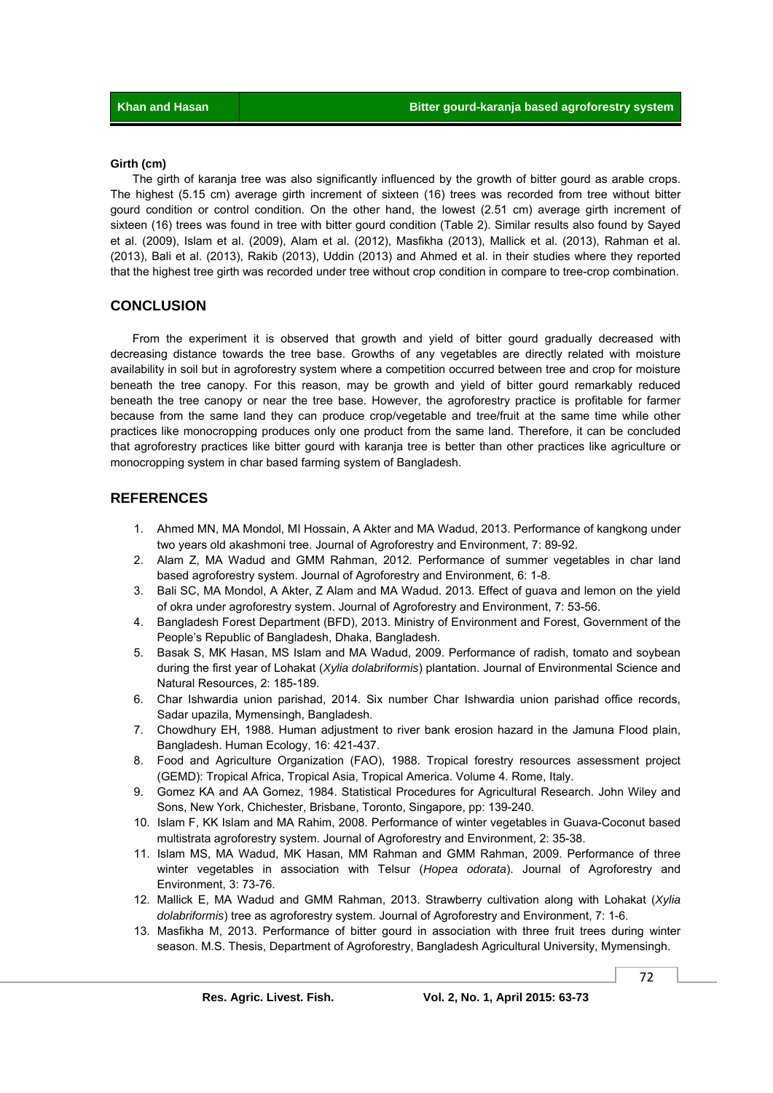#### **Girth (cm)**

 The girth of karanja tree was also significantly influenced by the growth of bitter gourd as arable crops. The highest (5.15 cm) average girth increment of sixteen (16) trees was recorded from tree without bitter gourd condition or control condition. On the other hand, the lowest (2.51 cm) average girth increment of sixteen (16) trees was found in tree with bitter gourd condition (Table 2). Similar results also found by Sayed et al. (2009), Islam et al. (2009), Alam et al. (2012), Masfikha (2013), Mallick et al. (2013), Rahman et al. (2013), Bali et al. (2013), Rakib (2013), Uddin (2013) and Ahmed et al. in their studies where they reported that the highest tree girth was recorded under tree without crop condition in compare to tree-crop combination.

## **CONCLUSION**

 From the experiment it is observed that growth and yield of bitter gourd gradually decreased with decreasing distance towards the tree base. Growths of any vegetables are directly related with moisture availability in soil but in agroforestry system where a competition occurred between tree and crop for moisture beneath the tree canopy. For this reason, may be growth and yield of bitter gourd remarkably reduced beneath the tree canopy or near the tree base. However, the agroforestry practice is profitable for farmer because from the same land they can produce crop/vegetable and tree/fruit at the same time while other practices like monocropping produces only one product from the same land. Therefore, it can be concluded that agroforestry practices like bitter gourd with karanja tree is better than other practices like agriculture or monocropping system in char based farming system of Bangladesh.

## **REFERENCES**

- 1. Ahmed MN, MA Mondol, MI Hossain, A Akter and MA Wadud, 2013. Performance of kangkong under two years old akashmoni tree. Journal of Agroforestry and Environment, 7: 89-92.
- 2. Alam Z, MA Wadud and GMM Rahman, 2012. Performance of summer vegetables in char land based agroforestry system. Journal of Agroforestry and Environment, 6: 1-8.
- 3. Bali SC, MA Mondol, A Akter, Z Alam and MA Wadud. 2013. Effect of guava and lemon on the yield of okra under agroforestry system. Journal of Agroforestry and Environment, 7: 53-56.
- 4. Bangladesh Forest Department (BFD), 2013. Ministry of Environment and Forest, Government of the People's Republic of Bangladesh, Dhaka, Bangladesh.
- 5. Basak S, MK Hasan, MS Islam and MA Wadud, 2009. Performance of radish, tomato and soybean during the first year of Lohakat (*Xylia dolabriformis*) plantation. Journal of Environmental Science and Natural Resources, 2: 185-189.
- 6. Char Ishwardia union parishad, 2014. Six number Char Ishwardia union parishad office records, Sadar upazila, Mymensingh, Bangladesh.
- 7. Chowdhury EH, 1988. Human adjustment to river bank erosion hazard in the Jamuna Flood plain, Bangladesh. Human Ecology, 16: 421-437.
- 8. Food and Agriculture Organization (FAO), 1988. Tropical forestry resources assessment project (GEMD): Tropical Africa, Tropical Asia, Tropical America. Volume 4. Rome, Italy.
- 9. Gomez KA and AA Gomez, 1984. Statistical Procedures for Agricultural Research. John Wiley and Sons, New York, Chichester, Brisbane, Toronto, Singapore, pp: 139-240.
- 10. Islam F, KK Islam and MA Rahim, 2008. Performance of winter vegetables in Guava-Coconut based multistrata agroforestry system. Journal of Agroforestry and Environment, 2: 35-38.
- 11. Islam MS, MA Wadud, MK Hasan, MM Rahman and GMM Rahman, 2009. Performance of three winter vegetables in association with Telsur (*Hopea odorata*). Journal of Agroforestry and Environment, 3: 73-76.
- 12. Mallick E, MA Wadud and GMM Rahman, 2013. Strawberry cultivation along with Lohakat (*Xylia dolabriformis*) tree as agroforestry system. Journal of Agroforestry and Environment, 7: 1-6.
- 13. Masfikha M, 2013. Performance of bitter gourd in association with three fruit trees during winter season. M.S. Thesis, Department of Agroforestry, Bangladesh Agricultural University, Mymensingh.